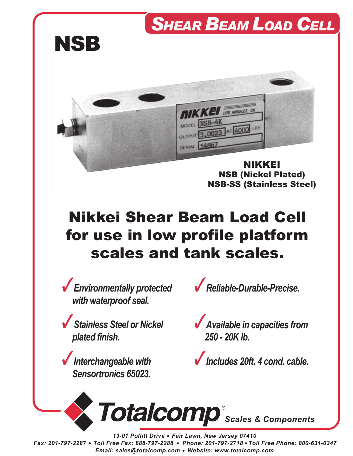## *SHEAR BEAM LOAD CELL*





## Nikkei Shear Beam Load Cell for use in low profile platform scales and tank scales.

*Environmentally protected with waterproof seal.*

*Stainless Steel or Nickel plated finish.*

*Interchangeable with Sensortronics 65023.*



*Available in capacities from 250 - 20K lb.*





*13-01 Pollitt Drive Fair Lawn, New Jersey 07410 Fax: 201-797-2287 Toll Free Fax: 888-797-2288 Phone: 201-797-2718 Toll Free Phone: 800-631-0347 Email: sales@totalcomp.com Website: www.totalcomp.com*